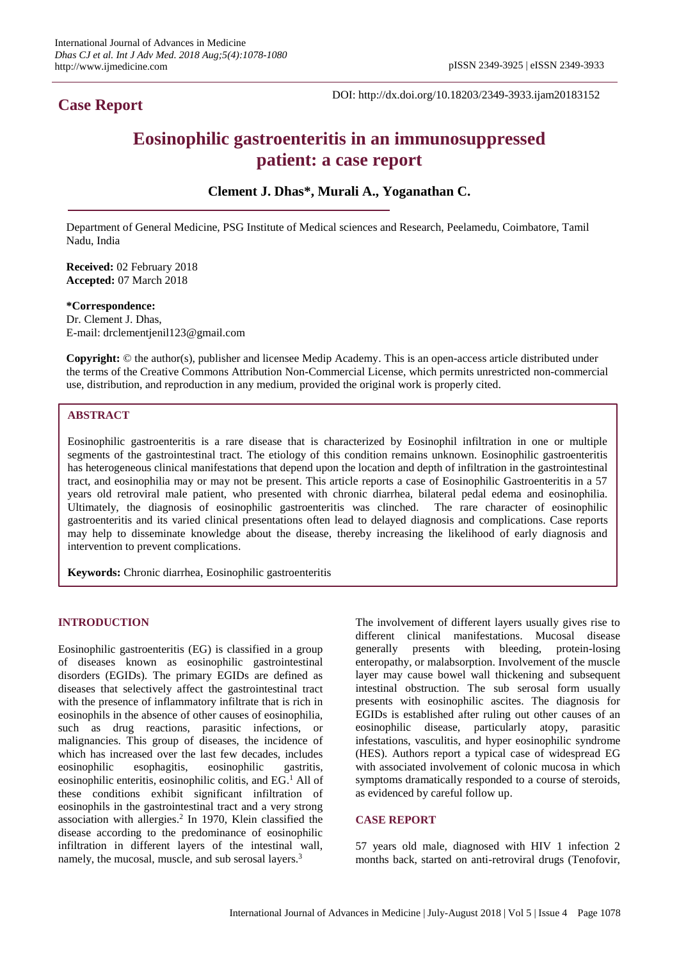# **Case Report**

DOI: http://dx.doi.org/10.18203/2349-3933.ijam20183152

# **Eosinophilic gastroenteritis in an immunosuppressed patient: a case report**

**Clement J. Dhas\*, Murali A., Yoganathan C.**

Department of General Medicine, PSG Institute of Medical sciences and Research, Peelamedu, Coimbatore, Tamil Nadu, India

**Received:** 02 February 2018 **Accepted:** 07 March 2018

**\*Correspondence:** Dr. Clement J. Dhas, E-mail: drclementjenil123@gmail.com

**Copyright:** © the author(s), publisher and licensee Medip Academy. This is an open-access article distributed under the terms of the Creative Commons Attribution Non-Commercial License, which permits unrestricted non-commercial use, distribution, and reproduction in any medium, provided the original work is properly cited.

# **ABSTRACT**

Eosinophilic gastroenteritis is a rare disease that is characterized by Eosinophil infiltration in one or multiple segments of the gastrointestinal tract. The etiology of this condition remains unknown. Eosinophilic gastroenteritis has heterogeneous clinical manifestations that depend upon the location and depth of infiltration in the gastrointestinal tract, and eosinophilia may or may not be present. This article reports a case of Eosinophilic Gastroenteritis in a 57 years old retroviral male patient, who presented with chronic diarrhea, bilateral pedal edema and eosinophilia. Ultimately, the diagnosis of eosinophilic gastroenteritis was clinched. The rare character of eosinophilic gastroenteritis and its varied clinical presentations often lead to delayed diagnosis and complications. Case reports may help to disseminate knowledge about the disease, thereby increasing the likelihood of early diagnosis and intervention to prevent complications.

**Keywords:** Chronic diarrhea, Eosinophilic gastroenteritis

# **INTRODUCTION**

Eosinophilic gastroenteritis (EG) is classified in a group of diseases known as eosinophilic gastrointestinal disorders (EGIDs). The primary EGIDs are defined as diseases that selectively affect the gastrointestinal tract with the presence of inflammatory infiltrate that is rich in eosinophils in the absence of other causes of eosinophilia, such as drug reactions, parasitic infections, or malignancies. This group of diseases, the incidence of which has increased over the last few decades, includes eosinophilic esophagitis, eosinophilic gastritis, eosinophilic enteritis, eosinophilic colitis, and EG.<sup>1</sup> All of these conditions exhibit significant infiltration of eosinophils in the gastrointestinal tract and a very strong association with allergies. 2 In 1970, Klein classified the disease according to the predominance of eosinophilic infiltration in different layers of the intestinal wall, namely, the mucosal, muscle, and sub serosal layers.<sup>3</sup>

The involvement of different layers usually gives rise to different clinical manifestations. Mucosal disease generally presents with bleeding, protein-losing enteropathy, or malabsorption. Involvement of the muscle layer may cause bowel wall thickening and subsequent intestinal obstruction. The sub serosal form usually presents with eosinophilic ascites. The diagnosis for EGIDs is established after ruling out other causes of an eosinophilic disease, particularly atopy, parasitic infestations, vasculitis, and hyper eosinophilic syndrome (HES). Authors report a typical case of widespread EG with associated involvement of colonic mucosa in which symptoms dramatically responded to a course of steroids, as evidenced by careful follow up.

#### **CASE REPORT**

57 years old male, diagnosed with HIV 1 infection 2 months back, started on anti-retroviral drugs (Tenofovir,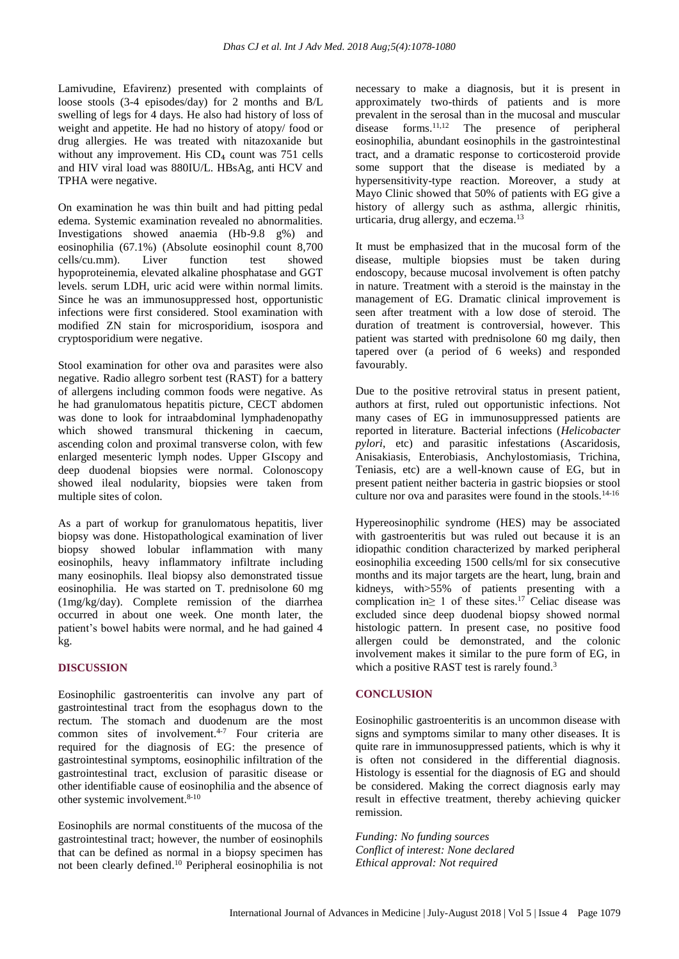Lamivudine, Efavirenz) presented with complaints of loose stools (3-4 episodes/day) for 2 months and B/L swelling of legs for 4 days. He also had history of loss of weight and appetite. He had no history of atopy/ food or drug allergies. He was treated with nitazoxanide but without any improvement. His  $CD<sub>4</sub>$  count was 751 cells and HIV viral load was 880IU/L. HBsAg, anti HCV and TPHA were negative.

On examination he was thin built and had pitting pedal edema. Systemic examination revealed no abnormalities. Investigations showed anaemia (Hb-9.8 g%) and eosinophilia (67.1%) (Absolute eosinophil count 8,700 cells/cu.mm). Liver function test showed hypoproteinemia, elevated alkaline phosphatase and GGT levels. serum LDH, uric acid were within normal limits. Since he was an immunosuppressed host, opportunistic infections were first considered. Stool examination with modified ZN stain for microsporidium, isospora and cryptosporidium were negative.

Stool examination for other ova and parasites were also negative. Radio allegro sorbent test (RAST) for a battery of allergens including common foods were negative. As he had granulomatous hepatitis picture, CECT abdomen was done to look for intraabdominal lymphadenopathy which showed transmural thickening in caecum, ascending colon and proximal transverse colon, with few enlarged mesenteric lymph nodes. Upper GIscopy and deep duodenal biopsies were normal. Colonoscopy showed ileal nodularity, biopsies were taken from multiple sites of colon.

As a part of workup for granulomatous hepatitis, liver biopsy was done. Histopathological examination of liver biopsy showed lobular inflammation with many eosinophils, heavy inflammatory infiltrate including many eosinophils. Ileal biopsy also demonstrated tissue eosinophilia. He was started on T. prednisolone 60 mg (1mg/kg/day). Complete remission of the diarrhea occurred in about one week. One month later, the patient's bowel habits were normal, and he had gained 4 kg.

# **DISCUSSION**

Eosinophilic gastroenteritis can involve any part of gastrointestinal tract from the esophagus down to the rectum. The stomach and duodenum are the most common sites of involvement. 4-7 Four criteria are required for the diagnosis of EG: the presence of gastrointestinal symptoms, eosinophilic infiltration of the gastrointestinal tract, exclusion of parasitic disease or other identifiable cause of eosinophilia and the absence of other systemic involvement. 8-10

Eosinophils are normal constituents of the mucosa of the gastrointestinal tract; however, the number of eosinophils that can be defined as normal in a biopsy specimen has not been clearly defined. <sup>10</sup> Peripheral eosinophilia is not necessary to make a diagnosis, but it is present in approximately two-thirds of patients and is more prevalent in the serosal than in the mucosal and muscular disease forms. 11,12 The presence of peripheral eosinophilia, abundant eosinophils in the gastrointestinal tract, and a dramatic response to corticosteroid provide some support that the disease is mediated by a hypersensitivity-type reaction. Moreover, a study at Mayo Clinic showed that 50% of patients with EG give a history of allergy such as asthma, allergic rhinitis, urticaria, drug allergy, and eczema.<sup>13</sup>

It must be emphasized that in the mucosal form of the disease, multiple biopsies must be taken during endoscopy, because mucosal involvement is often patchy in nature. Treatment with a steroid is the mainstay in the management of EG. Dramatic clinical improvement is seen after treatment with a low dose of steroid. The duration of treatment is controversial, however. This patient was started with prednisolone 60 mg daily, then tapered over (a period of 6 weeks) and responded favourably.

Due to the positive retroviral status in present patient, authors at first, ruled out opportunistic infections. Not many cases of EG in immunosuppressed patients are reported in literature. Bacterial infections (*Helicobacter pylori*, etc) and parasitic infestations (Ascaridosis, Anisakiasis, Enterobiasis, Anchylostomiasis, Trichina, Teniasis, etc) are a well-known cause of EG, but in present patient neither bacteria in gastric biopsies or stool culture nor ova and parasites were found in the stools.<sup>14-16</sup>

Hypereosinophilic syndrome (HES) may be associated with gastroenteritis but was ruled out because it is an idiopathic condition characterized by marked peripheral eosinophilia exceeding 1500 cells/ml for six consecutive months and its major targets are the heart, lung, brain and kidneys, with>55% of patients presenting with a complication in≥ 1 of these sites.<sup>17</sup> Celiac disease was excluded since deep duodenal biopsy showed normal histologic pattern. In present case, no positive food allergen could be demonstrated, and the colonic involvement makes it similar to the pure form of EG, in which a positive RAST test is rarely found.<sup>3</sup>

### **CONCLUSION**

Eosinophilic gastroenteritis is an uncommon disease with signs and symptoms similar to many other diseases. It is quite rare in immunosuppressed patients, which is why it is often not considered in the differential diagnosis. Histology is essential for the diagnosis of EG and should be considered. Making the correct diagnosis early may result in effective treatment, thereby achieving quicker remission.

*Funding: No funding sources Conflict of interest: None declared Ethical approval: Not required*